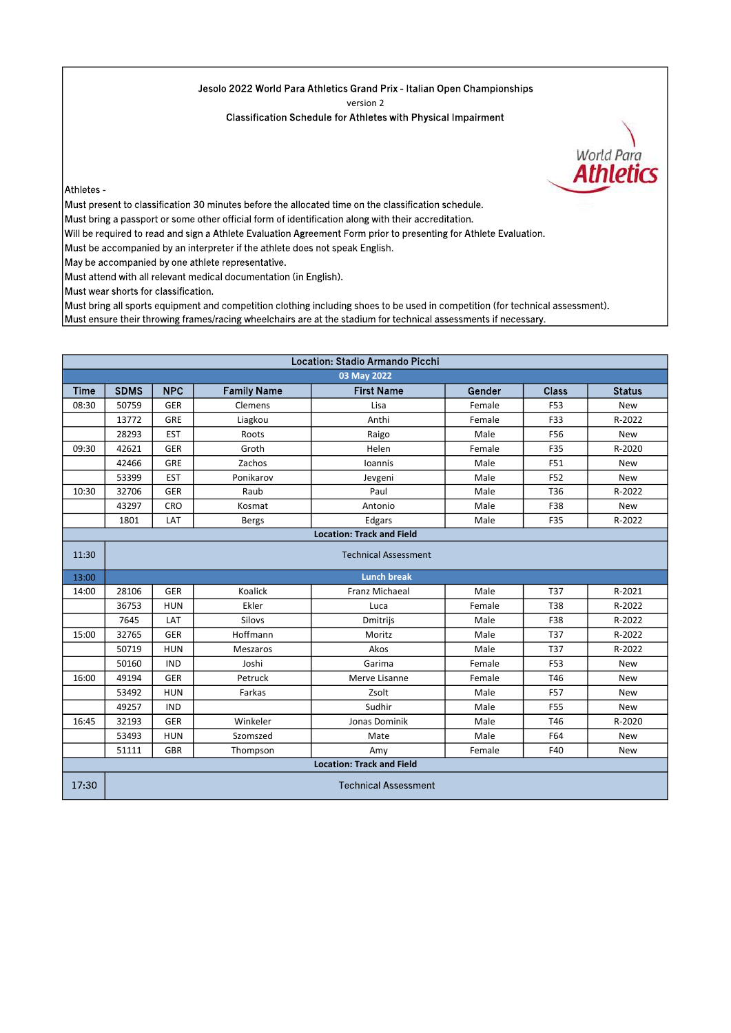## Jesolo 2022 World Para Athletics Grand Prix - Italian Open Championships

version 2

Classification Schedule for Athletes with Physical Impairment

World Para **Athletics** 

Athletes -

Must present to classification 30 minutes before the allocated time on the classification schedule.

Must bring a passport or some other official form of identification along with their accreditation.

Will be required to read and sign a Athlete Evaluation Agreement Form prior to presenting for Athlete Evaluation.

Must be accompanied by an interpreter if the athlete does not speak English.

May be accompanied by one athlete representative.

Must attend with all relevant medical documentation (in English).

Must wear shorts for classification.

Must bring all sports equipment and competition clothing including shoes to be used in competition (for technical assessment). Must ensure their throwing frames/racing wheelchairs are at the stadium for technical assessments if necessary.

| Location: Stadio Armando Picchi  |                             |            |                    |                   |        |              |               |  |
|----------------------------------|-----------------------------|------------|--------------------|-------------------|--------|--------------|---------------|--|
| 03 May 2022                      |                             |            |                    |                   |        |              |               |  |
| Time                             | <b>SDMS</b>                 | <b>NPC</b> | <b>Family Name</b> | <b>First Name</b> | Gender | <b>Class</b> | <b>Status</b> |  |
| 08:30                            | 50759                       | <b>GER</b> | <b>Clemens</b>     | Lisa              | Female | F53          | New           |  |
|                                  | 13772                       | <b>GRE</b> | Liagkou            | Anthi             | Female | F33          | R-2022        |  |
|                                  | 28293                       | <b>EST</b> | Roots              | Raigo             | Male   | F56          | <b>New</b>    |  |
| 09:30                            | 42621                       | <b>GER</b> | Groth              | Helen             | Female | F35          | R-2020        |  |
|                                  | 42466                       | <b>GRE</b> | Zachos             | Ioannis           | Male   | F51          | <b>New</b>    |  |
|                                  | 53399                       | <b>EST</b> | Ponikarov          | Jevgeni           | Male   | F52          | New           |  |
| 10:30                            | 32706                       | <b>GER</b> | Raub               | Paul              | Male   | T36          | R-2022        |  |
|                                  | 43297                       | <b>CRO</b> | Kosmat             | Antonio           | Male   | F38          | New           |  |
|                                  | 1801                        | LAT        | <b>Bergs</b>       | Edgars            | Male   | F35          | R-2022        |  |
| <b>Location: Track and Field</b> |                             |            |                    |                   |        |              |               |  |
| 11:30                            | <b>Technical Assessment</b> |            |                    |                   |        |              |               |  |
| 13:00                            | <b>Lunch break</b>          |            |                    |                   |        |              |               |  |

| 13:00                            | Lunch break                 |            |                 |                |        |            |            |  |
|----------------------------------|-----------------------------|------------|-----------------|----------------|--------|------------|------------|--|
| 14:00                            | 28106                       | <b>GER</b> | <b>Koalick</b>  | Franz Michaeal | Male   | <b>T37</b> | R-2021     |  |
|                                  | 36753                       | <b>HUN</b> | Ekler           | Luca           | Female | <b>T38</b> | R-2022     |  |
|                                  | 7645                        | LAT        | <b>Silovs</b>   | Dmitrijs       | Male   | F38        | R-2022     |  |
| 15:00                            | 32765                       | <b>GER</b> | Hoffmann        | Moritz         | Male   | <b>T37</b> | R-2022     |  |
|                                  | 50719                       | <b>HUN</b> | <b>Meszaros</b> | Akos           | Male   | <b>T37</b> | R-2022     |  |
|                                  | 50160                       | <b>IND</b> | Joshi           | Garima         | Female | F53        | <b>New</b> |  |
| 16:00                            | 49194                       | <b>GER</b> | Petruck         | Merve Lisanne  | Female | T46        | <b>New</b> |  |
|                                  | 53492                       | <b>HUN</b> | Farkas          | Zsolt          | Male   | <b>F57</b> | <b>New</b> |  |
|                                  | 49257                       | <b>IND</b> |                 | Sudhir         | Male   | F55        | <b>New</b> |  |
| 16:45                            | 32193                       | <b>GER</b> | Winkeler        | Jonas Dominik  | Male   | T46        | R-2020     |  |
|                                  | 53493                       | <b>HUN</b> | Szomszed        | Mate           | Male   | F64        | <b>New</b> |  |
|                                  | 51111                       | <b>GBR</b> | Thompson        | Amy            | Female | F40        | New        |  |
| <b>Location: Track and Field</b> |                             |            |                 |                |        |            |            |  |
| 17:30                            | <b>Technical Assessment</b> |            |                 |                |        |            |            |  |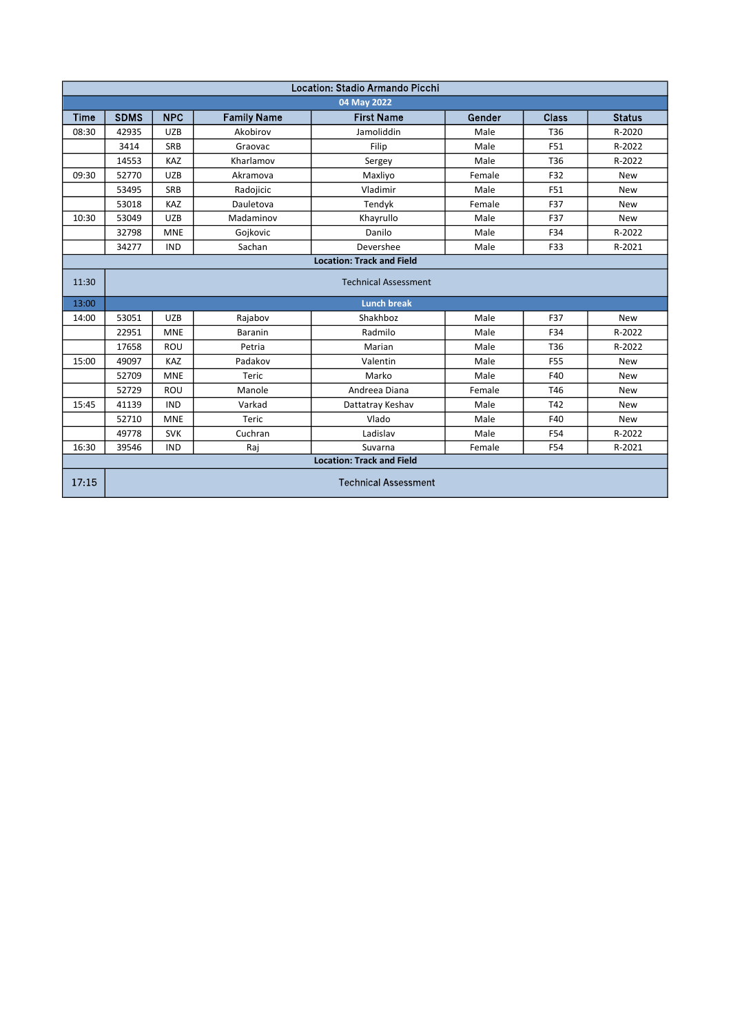| Location: Stadio Armando Picchi  |                             |            |                    |                                  |        |            |               |  |
|----------------------------------|-----------------------------|------------|--------------------|----------------------------------|--------|------------|---------------|--|
| 04 May 2022                      |                             |            |                    |                                  |        |            |               |  |
| Time                             | <b>SDMS</b>                 | <b>NPC</b> | <b>Family Name</b> | <b>First Name</b>                | Gender | Class      | <b>Status</b> |  |
| 08:30                            | 42935                       | <b>UZB</b> | Akobirov           | Jamoliddin                       | Male   | T36        | R-2020        |  |
|                                  | 3414                        | <b>SRB</b> | Graovac            | Filip                            | Male   | F51        | R-2022        |  |
|                                  | 14553                       | KAZ        | Kharlamov          | Sergey                           | Male   | T36        | R-2022        |  |
| 09:30                            | 52770                       | <b>UZB</b> | Akramova           | Maxliyo                          | Female | F32        | <b>New</b>    |  |
|                                  | 53495                       | <b>SRB</b> | Radojicic          | Vladimir                         | Male   | F51        | <b>New</b>    |  |
|                                  | 53018                       | KAZ        | Dauletova          | Tendyk                           | Female | F37        | <b>New</b>    |  |
| 10:30                            | 53049                       | <b>UZB</b> | Madaminov          | Khayrullo                        | Male   | F37        | <b>New</b>    |  |
|                                  | 32798                       | <b>MNE</b> | Gojkovic           | Danilo                           | Male   | F34        | R-2022        |  |
|                                  | 34277                       | <b>IND</b> | Sachan             | Devershee                        | Male   | F33        | R-2021        |  |
|                                  |                             |            |                    | <b>Location: Track and Field</b> |        |            |               |  |
| 11:30                            | <b>Technical Assessment</b> |            |                    |                                  |        |            |               |  |
| 13:00                            |                             |            |                    | <b>Lunch break</b>               |        |            |               |  |
| 14:00                            | 53051                       | <b>UZB</b> | Rajabov            | Shakhboz                         | Male   | F37        | <b>New</b>    |  |
|                                  | 22951                       | <b>MNE</b> | <b>Baranin</b>     | Radmilo                          | Male   | F34        | R-2022        |  |
|                                  | 17658                       | ROU        | Petria             | Marian                           | Male   | T36        | R-2022        |  |
| 15:00                            | 49097                       | <b>KAZ</b> | Padakov            | Valentin                         | Male   | <b>F55</b> | <b>New</b>    |  |
|                                  | 52709                       | <b>MNE</b> | Teric              | Marko                            | Male   | F40        | <b>New</b>    |  |
|                                  | 52729                       | ROU        | Manole             | Andreea Diana                    | Female | T46        | <b>New</b>    |  |
| 15:45                            | 41139                       | <b>IND</b> | Varkad             | Dattatray Keshav                 | Male   | T42        | <b>New</b>    |  |
|                                  | 52710                       | <b>MNE</b> | Teric              | Vlado                            | Male   | F40        | <b>New</b>    |  |
|                                  | 49778                       | <b>SVK</b> | Cuchran            | Ladislav                         | Male   | F54        | R-2022        |  |
| 16:30                            | 39546                       | <b>IND</b> | Raj                | Suvarna                          | Female | F54        | R-2021        |  |
| <b>Location: Track and Field</b> |                             |            |                    |                                  |        |            |               |  |
| 17:15                            | <b>Technical Assessment</b> |            |                    |                                  |        |            |               |  |